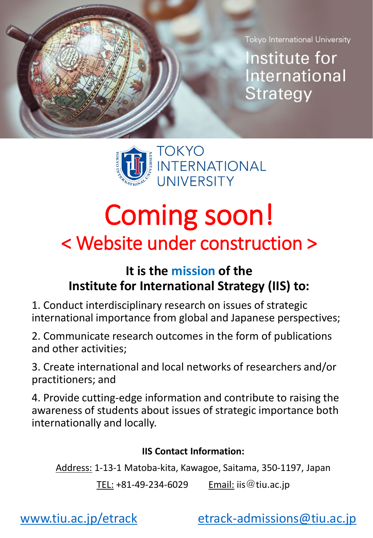Tokyo International University

Institute for International Strategy



### Coming soon! < Website under construction >

#### **It is the mission of the Institute for International Strategy (IIS) to:**

1. Conduct interdisciplinary research on issues of strategic international importance from global and Japanese perspectives;

2. Communicate research outcomes in the form of publications and other activities;

3. Create international and local networks of researchers and/or practitioners; and

4. Provide cutting-edge information and contribute to raising the awareness of students about issues of strategic importance both internationally and locally.

#### **IIS Contact Information:**

Address: 1-13-1 Matoba-kita, Kawagoe, Saitama, 350-1197, Japan

TEL:  $+81-49-234-6029$  Email: iis @ tiu.ac.jp

[www.tiu.ac.jp/etrack](http://www.tiu.ac.jp/etrack) [etrack-admissions@tiu.ac.jp](mailto:etrack-admissions@tiu.ac.jp)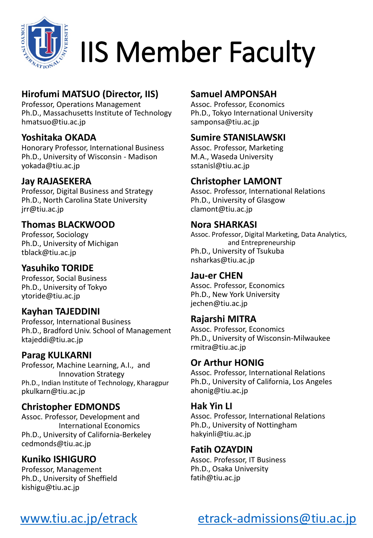

## IIS Member Faculty

#### **Hirofumi MATSUO (Director, IIS)**

Professor, Operations Management Ph.D., Massachusetts Institute of Technology hmatsuo@tiu.ac.jp

#### **Yoshitaka OKADA**

Honorary Professor, International Business Ph.D., University of Wisconsin - Madison yokada@tiu.ac.jp

#### **Jay RAJASEKERA**

Professor, Digital Business and Strategy Ph.D., North Carolina State University jrr@tiu.ac.jp

#### **Thomas BLACKWOOD**

Professor, Sociology Ph.D., University of Michigan tblack@tiu.ac.jp

#### **Yasuhiko TORIDE**

Professor, Social Business Ph.D., University of Tokyo ytoride@tiu.ac.jp

#### **Kayhan TAJEDDINI**

Professor, International Business Ph.D., Bradford Univ. School of Management ktajeddi@tiu.ac.jp

#### **Parag KULKARNI**

Professor, Machine Learning, A.I., and Innovation Strategy Ph.D., Indian Institute of Technology, Kharagpur pkulkarn@tiu.ac.jp

#### **Christopher EDMONDS**

Assoc. Professor, Development and International Economics Ph.D., University of California-Berkeley cedmonds@tiu.ac.jp

#### **Kuniko ISHIGURO**

Professor, Management Ph.D., University of Sheffield kishigu@tiu.ac.jp

#### **Samuel AMPONSAH**

Assoc. Professor, Economics Ph.D., Tokyo International University samponsa@tiu.ac.jp

#### **Sumire STANISLAWSKI**

Assoc. Professor, Marketing M.A., Waseda University sstanisl@tiu.ac.jp

#### **Christopher LAMONT**

Assoc. Professor, International Relations Ph.D., University of Glasgow clamont@tiu.ac.jp

#### **Nora SHARKASI**

Assoc. Professor, Digital Marketing, Data Analytics, and Entrepreneurship Ph.D., University of Tsukuba nsharkas@tiu.ac.jp

#### **Jau-er CHEN**

Assoc. Professor, Economics Ph.D., New York University jechen@tiu.ac.jp

#### **Rajarshi MITRA**

Assoc. Professor, Economics Ph.D., University of Wisconsin-Milwaukee rmitra@tiu.ac.jp

#### **Or Arthur HONIG**

Assoc. Professor, International Relations Ph.D., University of California, Los Angeles ahonig@tiu.ac.jp

#### **Hak Yin LI**

Assoc. Professor, International Relations Ph.D., University of Nottingham hakyinli@tiu.ac.jp

#### **Fatih OZAYDIN**

Assoc. Professor, IT Business Ph.D., Osaka University fatih@tiu.ac.jp

### [www.tiu.ac.jp/etrack](http://www.tiu.ac.jp/etrack) [etrack-admissions@tiu.ac.jp](mailto:etrack-admissions@tiu.ac.jp)